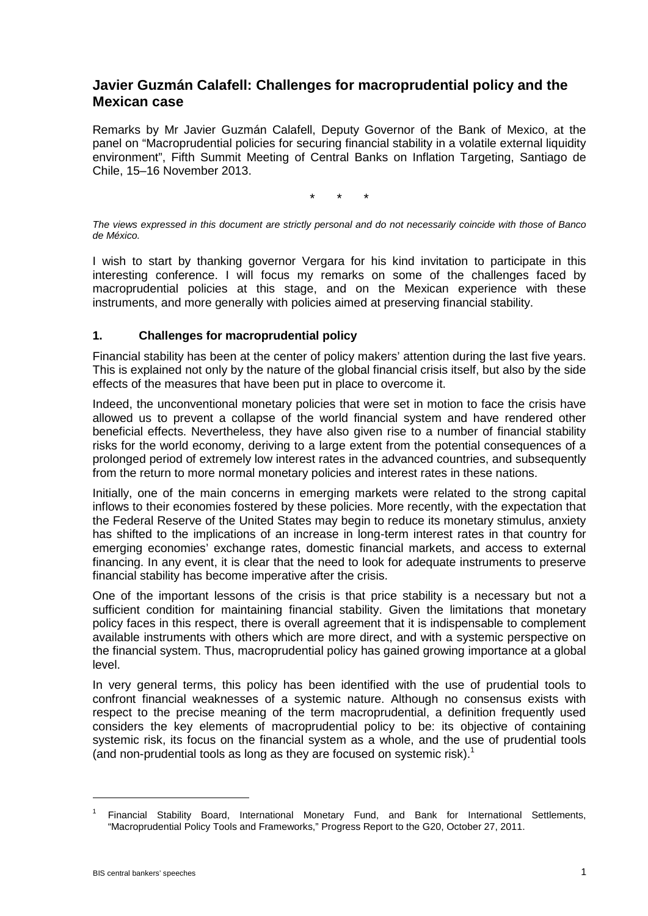## **Javier Guzmán Calafell: Challenges for macroprudential policy and the Mexican case**

Remarks by Mr Javier Guzmán Calafell, Deputy Governor of the Bank of Mexico, at the panel on "Macroprudential policies for securing financial stability in a volatile external liquidity environment", Fifth Summit Meeting of Central Banks on Inflation Targeting, Santiago de Chile, 15–16 November 2013.

\* \* \*

*The views expressed in this document are strictly personal and do not necessarily coincide with those of Banco de México.* 

I wish to start by thanking governor Vergara for his kind invitation to participate in this interesting conference. I will focus my remarks on some of the challenges faced by macroprudential policies at this stage, and on the Mexican experience with these instruments, and more generally with policies aimed at preserving financial stability.

## **1. Challenges for macroprudential policy**

Financial stability has been at the center of policy makers' attention during the last five years. This is explained not only by the nature of the global financial crisis itself, but also by the side effects of the measures that have been put in place to overcome it.

Indeed, the unconventional monetary policies that were set in motion to face the crisis have allowed us to prevent a collapse of the world financial system and have rendered other beneficial effects. Nevertheless, they have also given rise to a number of financial stability risks for the world economy, deriving to a large extent from the potential consequences of a prolonged period of extremely low interest rates in the advanced countries, and subsequently from the return to more normal monetary policies and interest rates in these nations.

Initially, one of the main concerns in emerging markets were related to the strong capital inflows to their economies fostered by these policies. More recently, with the expectation that the Federal Reserve of the United States may begin to reduce its monetary stimulus, anxiety has shifted to the implications of an increase in long-term interest rates in that country for emerging economies' exchange rates, domestic financial markets, and access to external financing. In any event, it is clear that the need to look for adequate instruments to preserve financial stability has become imperative after the crisis.

One of the important lessons of the crisis is that price stability is a necessary but not a sufficient condition for maintaining financial stability. Given the limitations that monetary policy faces in this respect, there is overall agreement that it is indispensable to complement available instruments with others which are more direct, and with a systemic perspective on the financial system. Thus, macroprudential policy has gained growing importance at a global level.

In very general terms, this policy has been identified with the use of prudential tools to confront financial weaknesses of a systemic nature. Although no consensus exists with respect to the precise meaning of the term macroprudential, a definition frequently used considers the key elements of macroprudential policy to be: its objective of containing systemic risk, its focus on the financial system as a whole, and the use of prudential tools (and non-prudential tools as long as they are focused on systemic risk). $1$ 

<sup>1</sup> Financial Stability Board, International Monetary Fund, and Bank for International Settlements, "Macroprudential Policy Tools and Frameworks," Progress Report to the G20, October 27, 2011.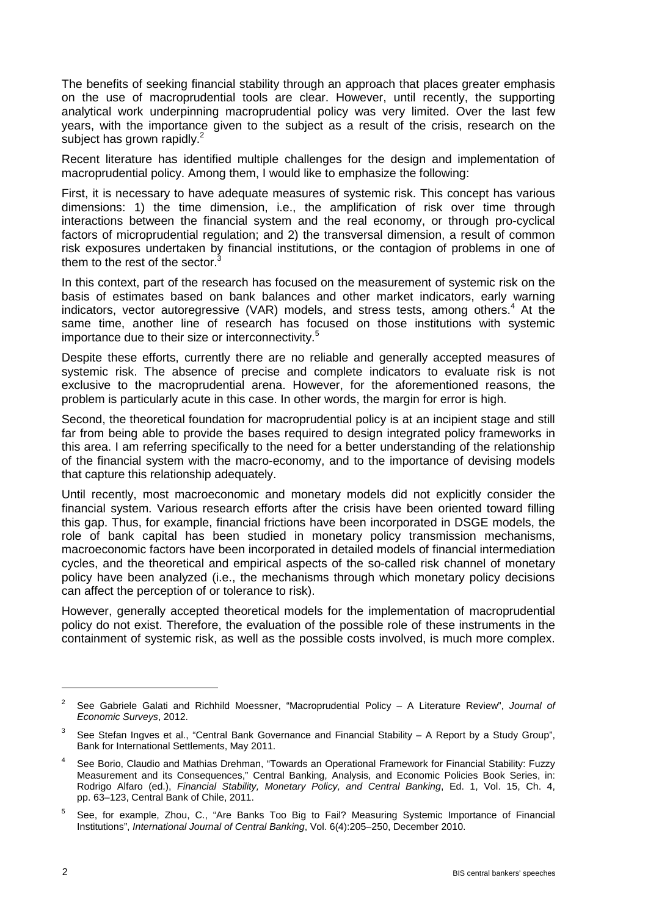The benefits of seeking financial stability through an approach that places greater emphasis on the use of macroprudential tools are clear. However, until recently, the supporting analytical work underpinning macroprudential policy was very limited. Over the last few years, with the importance given to the subject as a result of the crisis, research on the subject has grown rapidly.<sup>2</sup>

Recent literature has identified multiple challenges for the design and implementation of macroprudential policy. Among them, I would like to emphasize the following:

First, it is necessary to have adequate measures of systemic risk. This concept has various dimensions: 1) the time dimension, i.e., the amplification of risk over time through interactions between the financial system and the real economy, or through pro-cyclical factors of microprudential regulation; and 2) the transversal dimension, a result of common risk exposures undertaken by financial institutions, or the contagion of problems in one of them to the rest of the sector.

In this context, part of the research has focused on the measurement of systemic risk on the basis of estimates based on bank balances and other market indicators, early warning indicators, vector autoregressive (VAR) models, and stress tests, among others.<sup>4</sup> At the same time, another line of research has focused on those institutions with systemic importance due to their size or interconnectivity.<sup>5</sup>

Despite these efforts, currently there are no reliable and generally accepted measures of systemic risk. The absence of precise and complete indicators to evaluate risk is not exclusive to the macroprudential arena. However, for the aforementioned reasons, the problem is particularly acute in this case. In other words, the margin for error is high.

Second, the theoretical foundation for macroprudential policy is at an incipient stage and still far from being able to provide the bases required to design integrated policy frameworks in this area. I am referring specifically to the need for a better understanding of the relationship of the financial system with the macro-economy, and to the importance of devising models that capture this relationship adequately.

Until recently, most macroeconomic and monetary models did not explicitly consider the financial system. Various research efforts after the crisis have been oriented toward filling this gap. Thus, for example, financial frictions have been incorporated in DSGE models, the role of bank capital has been studied in monetary policy transmission mechanisms, macroeconomic factors have been incorporated in detailed models of financial intermediation cycles, and the theoretical and empirical aspects of the so-called risk channel of monetary policy have been analyzed (i.e., the mechanisms through which monetary policy decisions can affect the perception of or tolerance to risk).

However, generally accepted theoretical models for the implementation of macroprudential policy do not exist. Therefore, the evaluation of the possible role of these instruments in the containment of systemic risk, as well as the possible costs involved, is much more complex.

<sup>2</sup> See Gabriele Galati and Richhild Moessner, "Macroprudential Policy – A Literature Review", *Journal of Economic Surveys*, 2012.

 $3$  See Stefan Ingves et al., "Central Bank Governance and Financial Stability – A Report by a Study Group", Bank for International Settlements, May 2011.

See Borio, Claudio and Mathias Drehman, "Towards an Operational Framework for Financial Stability: Fuzzy Measurement and its Consequences," Central Banking, Analysis, and Economic Policies Book Series, in: Rodrigo Alfaro (ed.), *Financial Stability, Monetary Policy, and Central Banking*, Ed. 1, Vol. 15, Ch. 4, pp. 63–123, Central Bank of Chile, 2011.

<sup>5</sup> See, for example, Zhou, C., "Are Banks Too Big to Fail? Measuring Systemic Importance of Financial Institutions", *International Journal of Central Banking*, Vol. 6(4):205–250, December 2010.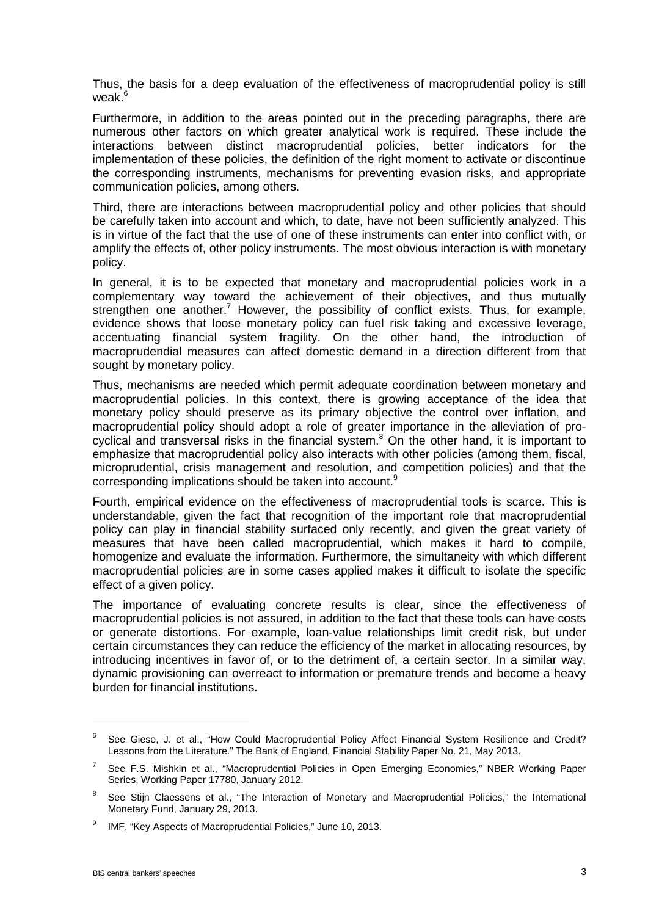Thus, the basis for a deep evaluation of the effectiveness of macroprudential policy is still weak.<sup>6</sup>

Furthermore, in addition to the areas pointed out in the preceding paragraphs, there are numerous other factors on which greater analytical work is required. These include the interactions between distinct macroprudential policies, better indicators for the implementation of these policies, the definition of the right moment to activate or discontinue the corresponding instruments, mechanisms for preventing evasion risks, and appropriate communication policies, among others.

Third, there are interactions between macroprudential policy and other policies that should be carefully taken into account and which, to date, have not been sufficiently analyzed. This is in virtue of the fact that the use of one of these instruments can enter into conflict with, or amplify the effects of, other policy instruments. The most obvious interaction is with monetary policy.

In general, it is to be expected that monetary and macroprudential policies work in a complementary way toward the achievement of their objectives, and thus mutually strengthen one another.<sup>7</sup> However, the possibility of conflict exists. Thus, for example, evidence shows that loose monetary policy can fuel risk taking and excessive leverage, accentuating financial system fragility. On the other hand, the introduction of macroprudendial measures can affect domestic demand in a direction different from that sought by monetary policy.

Thus, mechanisms are needed which permit adequate coordination between monetary and macroprudential policies. In this context, there is growing acceptance of the idea that monetary policy should preserve as its primary objective the control over inflation, and macroprudential policy should adopt a role of greater importance in the alleviation of procyclical and transversal risks in the financial system.<sup>8</sup> On the other hand, it is important to emphasize that macroprudential policy also interacts with other policies (among them, fiscal, microprudential, crisis management and resolution, and competition policies) and that the corresponding implications should be taken into account.<sup>9</sup>

Fourth, empirical evidence on the effectiveness of macroprudential tools is scarce. This is understandable, given the fact that recognition of the important role that macroprudential policy can play in financial stability surfaced only recently, and given the great variety of measures that have been called macroprudential, which makes it hard to compile, homogenize and evaluate the information. Furthermore, the simultaneity with which different macroprudential policies are in some cases applied makes it difficult to isolate the specific effect of a given policy.

The importance of evaluating concrete results is clear, since the effectiveness of macroprudential policies is not assured, in addition to the fact that these tools can have costs or generate distortions. For example, loan-value relationships limit credit risk, but under certain circumstances they can reduce the efficiency of the market in allocating resources, by introducing incentives in favor of, or to the detriment of, a certain sector. In a similar way, dynamic provisioning can overreact to information or premature trends and become a heavy burden for financial institutions.

See Giese, J. et al., "How Could Macroprudential Policy Affect Financial System Resilience and Credit? Lessons from the Literature." The Bank of England, Financial Stability Paper No. 21, May 2013.

<sup>7</sup> See F.S. Mishkin et al., "Macroprudential Policies in Open Emerging Economies," NBER Working Paper Series, Working Paper 17780, January 2012.

See Stijn Claessens et al., "The Interaction of Monetary and Macroprudential Policies," the International Monetary Fund, January 29, 2013.

<sup>&</sup>lt;sup>9</sup> IMF, "Key Aspects of Macroprudential Policies," June 10, 2013.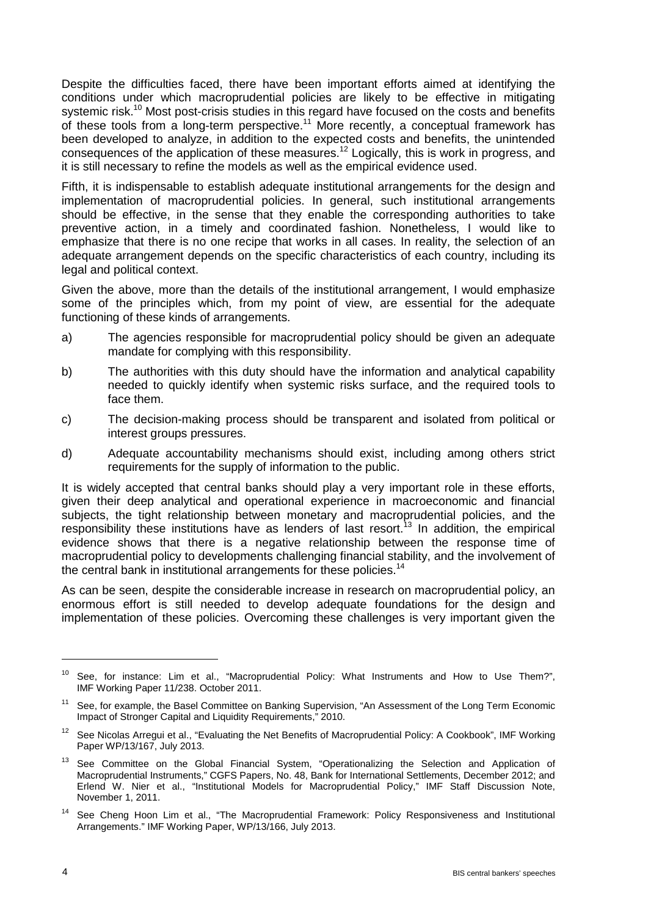Despite the difficulties faced, there have been important efforts aimed at identifying the conditions under which macroprudential policies are likely to be effective in mitigating systemic risk.<sup>10</sup> Most post-crisis studies in this regard have focused on the costs and benefits of these tools from a long-term perspective.<sup>11</sup> More recently, a conceptual framework has been developed to analyze, in addition to the expected costs and benefits, the unintended consequences of the application of these measures.<sup>12</sup> Logically, this is work in progress, and it is still necessary to refine the models as well as the empirical evidence used.

Fifth, it is indispensable to establish adequate institutional arrangements for the design and implementation of macroprudential policies. In general, such institutional arrangements should be effective, in the sense that they enable the corresponding authorities to take preventive action, in a timely and coordinated fashion. Nonetheless, I would like to emphasize that there is no one recipe that works in all cases. In reality, the selection of an adequate arrangement depends on the specific characteristics of each country, including its legal and political context.

Given the above, more than the details of the institutional arrangement, I would emphasize some of the principles which, from my point of view, are essential for the adequate functioning of these kinds of arrangements.

- a) The agencies responsible for macroprudential policy should be given an adequate mandate for complying with this responsibility.
- b) The authorities with this duty should have the information and analytical capability needed to quickly identify when systemic risks surface, and the required tools to face them.
- c) The decision-making process should be transparent and isolated from political or interest groups pressures.
- d) Adequate accountability mechanisms should exist, including among others strict requirements for the supply of information to the public.

It is widely accepted that central banks should play a very important role in these efforts, given their deep analytical and operational experience in macroeconomic and financial subjects, the tight relationship between monetary and macroprudential policies, and the responsibility these institutions have as lenders of last resort.<sup>13</sup> In addition, the empirical evidence shows that there is a negative relationship between the response time of macroprudential policy to developments challenging financial stability, and the involvement of the central bank in institutional arrangements for these policies.<sup>14</sup>

As can be seen, despite the considerable increase in research on macroprudential policy, an enormous effort is still needed to develop adequate foundations for the design and implementation of these policies. Overcoming these challenges is very important given the

<sup>&</sup>lt;sup>10</sup> See, for instance: Lim et al., "Macroprudential Policy: What Instruments and How to Use Them?", IMF Working Paper 11/238. October 2011.

<sup>&</sup>lt;sup>11</sup> See, for example, the Basel Committee on Banking Supervision, "An Assessment of the Long Term Economic Impact of Stronger Capital and Liquidity Requirements," 2010.

<sup>&</sup>lt;sup>12</sup> See Nicolas Arregui et al., "Evaluating the Net Benefits of Macroprudential Policy: A Cookbook", IMF Working Paper WP/13/167, July 2013.

<sup>&</sup>lt;sup>13</sup> See Committee on the Global Financial System, "Operationalizing the Selection and Application of Macroprudential Instruments," CGFS Papers, No. 48, Bank for International Settlements, December 2012; and Erlend W. Nier et al., "Institutional Models for Macroprudential Policy," IMF Staff Discussion Note, November 1, 2011.

<sup>&</sup>lt;sup>14</sup> See Cheng Hoon Lim et al., "The Macroprudential Framework: Policy Responsiveness and Institutional Arrangements." IMF Working Paper, WP/13/166, July 2013.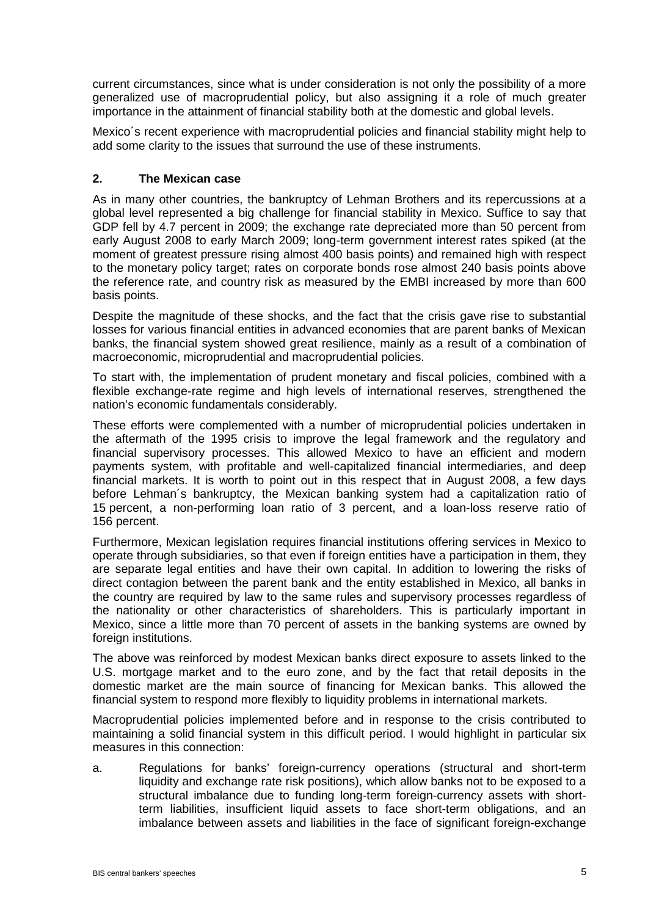current circumstances, since what is under consideration is not only the possibility of a more generalized use of macroprudential policy, but also assigning it a role of much greater importance in the attainment of financial stability both at the domestic and global levels.

Mexico´s recent experience with macroprudential policies and financial stability might help to add some clarity to the issues that surround the use of these instruments.

## **2. The Mexican case**

As in many other countries, the bankruptcy of Lehman Brothers and its repercussions at a global level represented a big challenge for financial stability in Mexico. Suffice to say that GDP fell by 4.7 percent in 2009; the exchange rate depreciated more than 50 percent from early August 2008 to early March 2009; long-term government interest rates spiked (at the moment of greatest pressure rising almost 400 basis points) and remained high with respect to the monetary policy target; rates on corporate bonds rose almost 240 basis points above the reference rate, and country risk as measured by the EMBI increased by more than 600 basis points.

Despite the magnitude of these shocks, and the fact that the crisis gave rise to substantial losses for various financial entities in advanced economies that are parent banks of Mexican banks, the financial system showed great resilience, mainly as a result of a combination of macroeconomic, microprudential and macroprudential policies.

To start with, the implementation of prudent monetary and fiscal policies, combined with a flexible exchange-rate regime and high levels of international reserves, strengthened the nation's economic fundamentals considerably.

These efforts were complemented with a number of microprudential policies undertaken in the aftermath of the 1995 crisis to improve the legal framework and the regulatory and financial supervisory processes. This allowed Mexico to have an efficient and modern payments system, with profitable and well-capitalized financial intermediaries, and deep financial markets. It is worth to point out in this respect that in August 2008, a few days before Lehman´s bankruptcy, the Mexican banking system had a capitalization ratio of 15 percent, a non-performing loan ratio of 3 percent, and a loan-loss reserve ratio of 156 percent.

Furthermore, Mexican legislation requires financial institutions offering services in Mexico to operate through subsidiaries, so that even if foreign entities have a participation in them, they are separate legal entities and have their own capital. In addition to lowering the risks of direct contagion between the parent bank and the entity established in Mexico, all banks in the country are required by law to the same rules and supervisory processes regardless of the nationality or other characteristics of shareholders. This is particularly important in Mexico, since a little more than 70 percent of assets in the banking systems are owned by foreign institutions.

The above was reinforced by modest Mexican banks direct exposure to assets linked to the U.S. mortgage market and to the euro zone, and by the fact that retail deposits in the domestic market are the main source of financing for Mexican banks. This allowed the financial system to respond more flexibly to liquidity problems in international markets.

Macroprudential policies implemented before and in response to the crisis contributed to maintaining a solid financial system in this difficult period. I would highlight in particular six measures in this connection:

a. Regulations for banks' foreign-currency operations (structural and short-term liquidity and exchange rate risk positions), which allow banks not to be exposed to a structural imbalance due to funding long-term foreign-currency assets with shortterm liabilities, insufficient liquid assets to face short-term obligations, and an imbalance between assets and liabilities in the face of significant foreign-exchange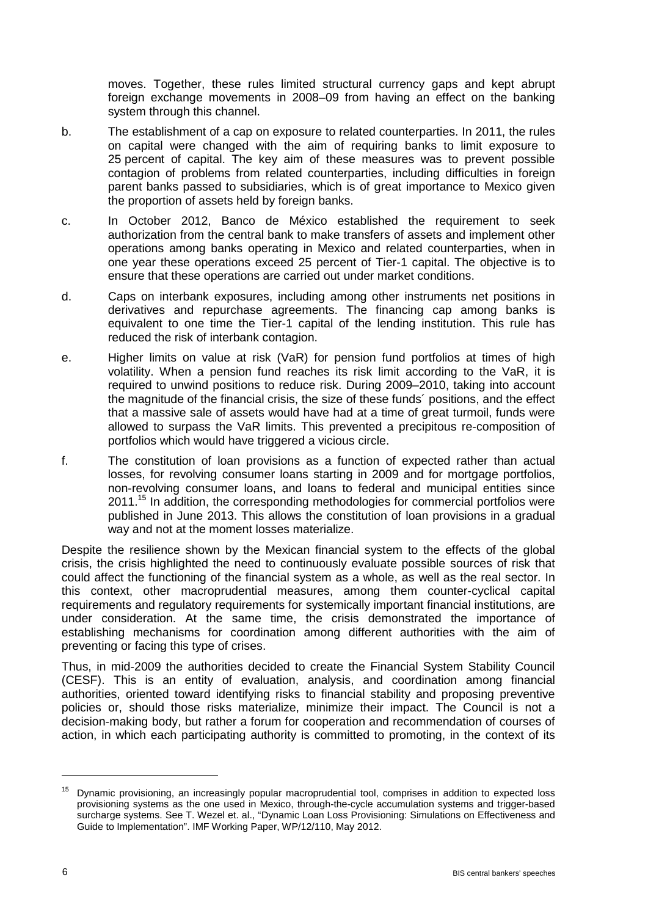moves. Together, these rules limited structural currency gaps and kept abrupt foreign exchange movements in 2008–09 from having an effect on the banking system through this channel.

- b. The establishment of a cap on exposure to related counterparties. In 2011, the rules on capital were changed with the aim of requiring banks to limit exposure to 25 percent of capital. The key aim of these measures was to prevent possible contagion of problems from related counterparties, including difficulties in foreign parent banks passed to subsidiaries, which is of great importance to Mexico given the proportion of assets held by foreign banks.
- c. In October 2012, Banco de México established the requirement to seek authorization from the central bank to make transfers of assets and implement other operations among banks operating in Mexico and related counterparties, when in one year these operations exceed 25 percent of Tier-1 capital. The objective is to ensure that these operations are carried out under market conditions.
- d. Caps on interbank exposures, including among other instruments net positions in derivatives and repurchase agreements. The financing cap among banks is equivalent to one time the Tier-1 capital of the lending institution. This rule has reduced the risk of interbank contagion.
- e. Higher limits on value at risk (VaR) for pension fund portfolios at times of high volatility. When a pension fund reaches its risk limit according to the VaR, it is required to unwind positions to reduce risk. During 2009–2010, taking into account the magnitude of the financial crisis, the size of these funds´ positions, and the effect that a massive sale of assets would have had at a time of great turmoil, funds were allowed to surpass the VaR limits. This prevented a precipitous re-composition of portfolios which would have triggered a vicious circle.
- f. The constitution of loan provisions as a function of expected rather than actual losses, for revolving consumer loans starting in 2009 and for mortgage portfolios, non-revolving consumer loans, and loans to federal and municipal entities since 2011.<sup>15</sup> In addition, the corresponding methodologies for commercial portfolios were published in June 2013. This allows the constitution of loan provisions in a gradual way and not at the moment losses materialize.

Despite the resilience shown by the Mexican financial system to the effects of the global crisis, the crisis highlighted the need to continuously evaluate possible sources of risk that could affect the functioning of the financial system as a whole, as well as the real sector. In this context, other macroprudential measures, among them counter-cyclical capital requirements and regulatory requirements for systemically important financial institutions, are under consideration. At the same time, the crisis demonstrated the importance of establishing mechanisms for coordination among different authorities with the aim of preventing or facing this type of crises.

Thus, in mid-2009 the authorities decided to create the Financial System Stability Council (CESF). This is an entity of evaluation, analysis, and coordination among financial authorities, oriented toward identifying risks to financial stability and proposing preventive policies or, should those risks materialize, minimize their impact. The Council is not a decision-making body, but rather a forum for cooperation and recommendation of courses of action, in which each participating authority is committed to promoting, in the context of its

<sup>&</sup>lt;sup>15</sup> Dynamic provisioning, an increasingly popular macroprudential tool, comprises in addition to expected loss provisioning systems as the one used in Mexico, through-the-cycle accumulation systems and trigger-based surcharge systems. See T. Wezel et. al., "Dynamic Loan Loss Provisioning: Simulations on Effectiveness and Guide to Implementation". IMF Working Paper, WP/12/110, May 2012.